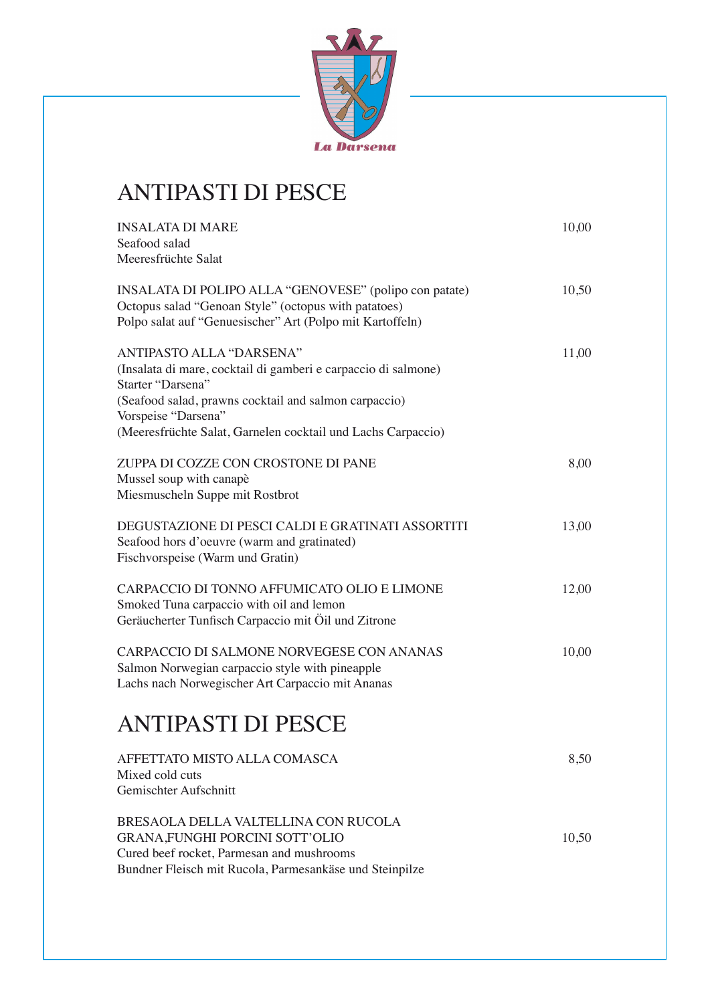

### ANTIPASTI DI PESCE

| <b>INSALATA DI MARE</b><br>Seafood salad                                                                                                                                                                                                                        | 10,00 |
|-----------------------------------------------------------------------------------------------------------------------------------------------------------------------------------------------------------------------------------------------------------------|-------|
| Meeresfrüchte Salat                                                                                                                                                                                                                                             |       |
| INSALATA DI POLIPO ALLA "GENOVESE" (polipo con patate)<br>Octopus salad "Genoan Style" (octopus with patatoes)<br>Polpo salat auf "Genuesischer" Art (Polpo mit Kartoffeln)                                                                                     | 10,50 |
| ANTIPASTO ALLA "DARSENA"<br>(Insalata di mare, cocktail di gamberi e carpaccio di salmone)<br>Starter "Darsena"<br>(Seafood salad, prawns cocktail and salmon carpaccio)<br>Vorspeise "Darsena"<br>(Meeresfrüchte Salat, Garnelen cocktail und Lachs Carpaccio) | 11,00 |
| ZUPPA DI COZZE CON CROSTONE DI PANE<br>Mussel soup with canapè<br>Miesmuscheln Suppe mit Rostbrot                                                                                                                                                               | 8,00  |
| DEGUSTAZIONE DI PESCI CALDI E GRATINATI ASSORTITI<br>Seafood hors d'oeuvre (warm and gratinated)<br>Fischvorspeise (Warm und Gratin)                                                                                                                            | 13,00 |
| CARPACCIO DI TONNO AFFUMICATO OLIO E LIMONE<br>Smoked Tuna carpaccio with oil and lemon<br>Geräucherter Tunfisch Carpaccio mit Öil und Zitrone                                                                                                                  | 12,00 |
| CARPACCIO DI SALMONE NORVEGESE CON ANANAS<br>Salmon Norwegian carpaccio style with pineapple<br>Lachs nach Norwegischer Art Carpaccio mit Ananas                                                                                                                | 10,00 |
| <b>ANTIPASTI DI PESCE</b>                                                                                                                                                                                                                                       |       |
| AFFETTATO MISTO ALLA COMASCA<br>Mixed cold cuts<br>Gemischter Aufschnitt                                                                                                                                                                                        | 8,50  |
| BRESAOLA DELLA VALTELLINA CON RUCOLA<br><b>GRANA, FUNGHI PORCINI SOTT'OLIO</b><br>Cured beef rocket, Parmesan and mushrooms<br>Bundner Fleisch mit Rucola, Parmesankäse und Steinpilze                                                                          | 10,50 |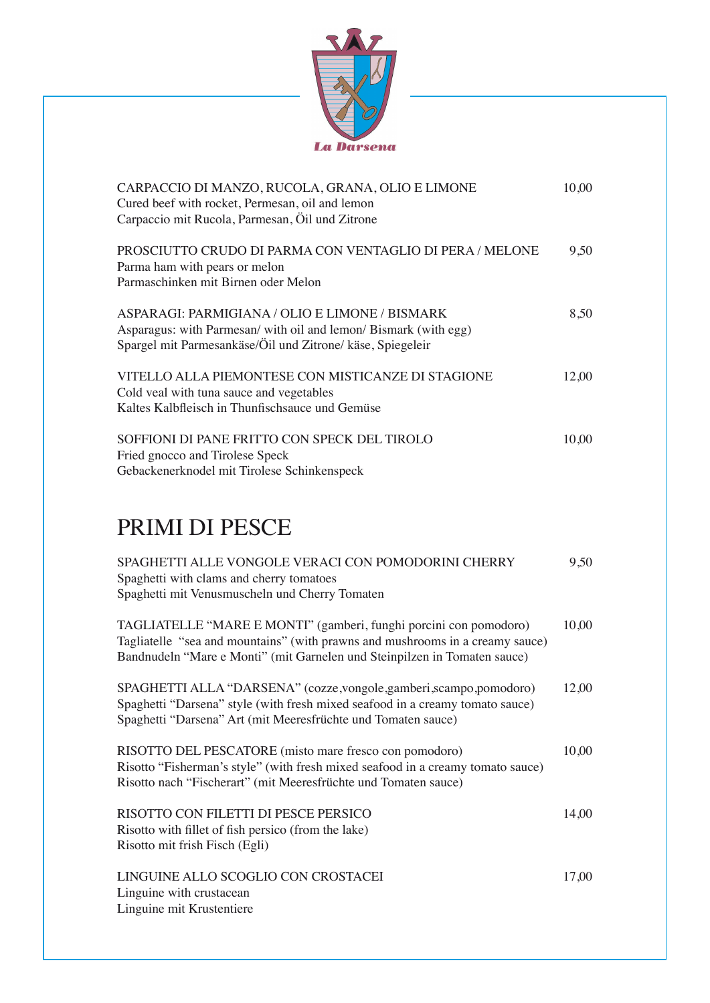

| CARPACCIO DI MANZO, RUCOLA, GRANA, OLIO E LIMONE<br>Cured beef with rocket, Permesan, oil and lemon<br>Carpaccio mit Rucola, Parmesan, Öil und Zitrone                           | 10,00 |
|----------------------------------------------------------------------------------------------------------------------------------------------------------------------------------|-------|
| PROSCIUTTO CRUDO DI PARMA CON VENTAGLIO DI PERA / MELONE<br>Parma ham with pears or melon<br>Parmaschinken mit Birnen oder Melon                                                 | 9,50  |
| ASPARAGI: PARMIGIANA / OLIO E LIMONE / BISMARK<br>Asparagus: with Parmesan/ with oil and lemon/ Bismark (with egg)<br>Spargel mit Parmesankäse/Öil und Zitrone/ käse, Spiegeleir | 8,50  |
| VITELLO ALLA PIEMONTESE CON MISTICANZE DI STAGIONE<br>Cold veal with tuna sauce and vegetables<br>Kaltes Kalbfleisch in Thunfischsauce und Gemüse                                | 12,00 |
| SOFFIONI DI PANE FRITTO CON SPECK DEL TIROLO<br>Fried gnocco and Tirolese Speck<br>Gebackenerknodel mit Tirolese Schinkenspeck                                                   | 10,00 |

## PRIMI DI PESCE

| SPAGHETTI ALLE VONGOLE VERACI CON POMODORINI CHERRY<br>Spaghetti with clams and cherry tomatoes<br>Spaghetti mit Venusmuscheln und Cherry Tomaten                                                                               | 9,50  |
|---------------------------------------------------------------------------------------------------------------------------------------------------------------------------------------------------------------------------------|-------|
| TAGLIATELLE "MARE E MONTI" (gamberi, funghi porcini con pomodoro)<br>Tagliatelle "sea and mountains" (with prawns and mushrooms in a creamy sauce)<br>Bandnudeln "Mare e Monti" (mit Garnelen und Steinpilzen in Tomaten sauce) | 10,00 |
| SPAGHETTI ALLA "DARSENA" (cozze, vongole, gamberi, scampo, pomodoro)<br>Spaghetti "Darsena" style (with fresh mixed seafood in a creamy tomato sauce)<br>Spaghetti "Darsena" Art (mit Meeresfrüchte und Tomaten sauce)          | 12,00 |
| RISOTTO DEL PESCATORE (misto mare fresco con pomodoro)<br>Risotto "Fisherman's style" (with fresh mixed seafood in a creamy tomato sauce)<br>Risotto nach "Fischerart" (mit Meeresfrüchte und Tomaten sauce)                    | 10,00 |
| RISOTTO CON FILETTI DI PESCE PERSICO<br>Risotto with fillet of fish persico (from the lake)<br>Risotto mit frish Fisch (Egli)                                                                                                   | 14,00 |
| LINGUINE ALLO SCOGLIO CON CROSTACEI<br>Linguine with crustacean<br>Linguine mit Krustentiere                                                                                                                                    | 17,00 |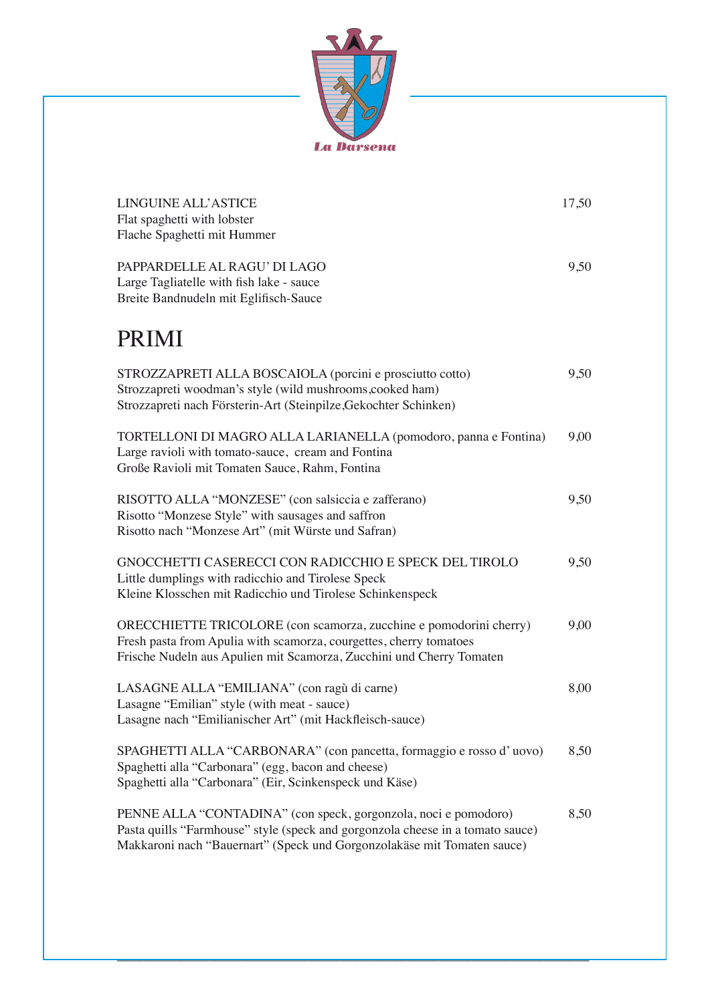

| LINGUINE ALL'ASTICE<br>Flat spaghetti with lobster<br>Flache Spaghetti mit Hummer                                                                                                                                            | 17,50 |
|------------------------------------------------------------------------------------------------------------------------------------------------------------------------------------------------------------------------------|-------|
| PAPPARDELLE AL RAGU' DI LAGO<br>Large Tagliatelle with fish lake - sauce<br>Breite Bandnudeln mit Eglifisch-Sauce                                                                                                            | 9,50  |
| <b>PRIMI</b>                                                                                                                                                                                                                 |       |
| STROZZAPRETI ALLA BOSCAIOLA (porcini e prosciutto cotto)<br>Strozzapreti woodman's style (wild mushrooms, cooked ham)<br>Strozzapreti nach Försterin-Art (Steinpilze, Gekochter Schinken)                                    | 9,50  |
| TORTELLONI DI MAGRO ALLA LARIANELLA (pomodoro, panna e Fontina)<br>Large ravioli with tomato-sauce, cream and Fontina<br>Große Ravioli mit Tomaten Sauce, Rahm, Fontina                                                      | 9,00  |
| RISOTTO ALLA "MONZESE" (con salsiccia e zafferano)<br>Risotto "Monzese Style" with sausages and saffron<br>Risotto nach "Monzese Art" (mit Würste und Safran)                                                                | 9,50  |
| <b>GNOCCHETTI CASERECCI CON RADICCHIO E SPECK DEL TIROLO</b><br>Little dumplings with radicchio and Tirolese Speck<br>Kleine Klosschen mit Radicchio und Tirolese Schinkenspeck                                              | 9,50  |
| ORECCHIETTE TRICOLORE (con scamorza, zucchine e pomodorini cherry)<br>Fresh pasta from Apulia with scamorza, courgettes, cherry tomatoes<br>Frische Nudeln aus Apulien mit Scamorza, Zucchini und Cherry Tomaten             | 9,00  |
| LASAGNE ALLA "EMILIANA" (con ragù di carne)<br>Lasagne "Emilian" style (with meat - sauce)<br>Lasagne nach "Emilianischer Art" (mit Hackfleisch-sauce)                                                                       | 8,00  |
| SPAGHETTI ALLA "CARBONARA" (con pancetta, formaggio e rosso d'uovo)<br>Spaghetti alla "Carbonara" (egg, bacon and cheese)<br>Spaghetti alla "Carbonara" (Eir, Scinkenspeck und Käse)                                         | 8,50  |
| PENNE ALLA "CONTADINA" (con speck, gorgonzola, noci e pomodoro)<br>Pasta quills "Farmhouse" style (speck and gorgonzola cheese in a tomato sauce)<br>Makkaroni nach "Bauernart" (Speck und Gorgonzolakäse mit Tomaten sauce) | 8,50  |

\_\_\_\_\_\_\_\_\_\_\_\_\_\_\_\_\_\_\_\_\_\_\_\_\_\_\_\_\_\_\_\_\_\_\_\_\_\_\_\_\_\_\_\_\_\_\_\_\_\_\_\_\_\_\_\_\_\_\_\_\_\_\_\_\_\_\_\_\_\_\_\_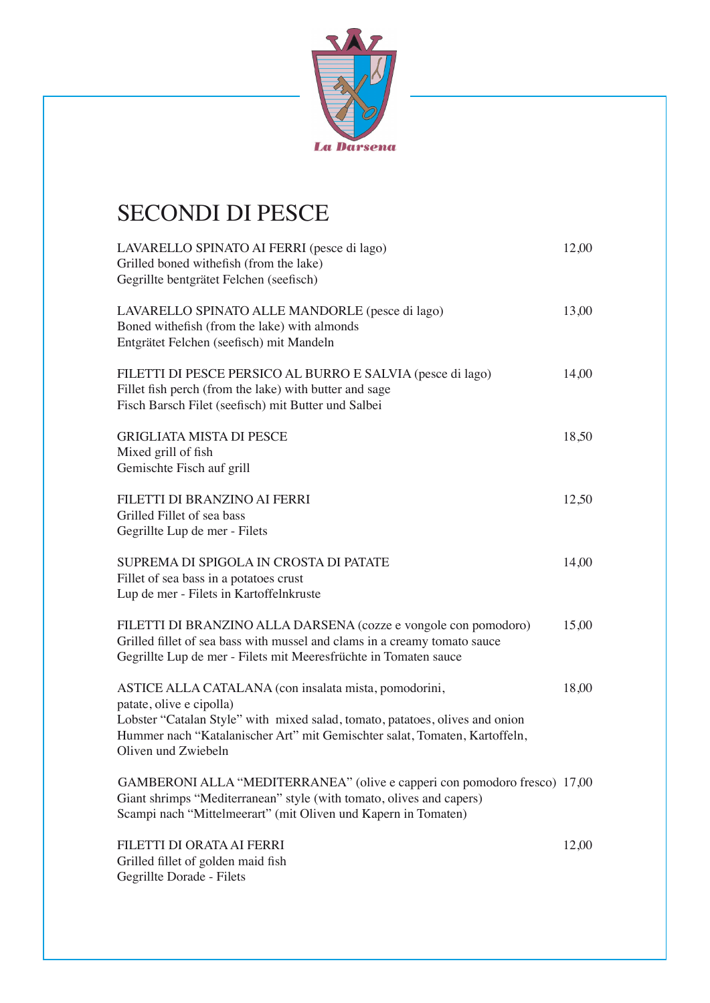

# SECONDI DI PESCE

| LAVARELLO SPINATO AI FERRI (pesce di lago)<br>Grilled boned withefish (from the lake)<br>Gegrillte bentgrätet Felchen (seefisch)                                                                                                                                       | 12,00 |
|------------------------------------------------------------------------------------------------------------------------------------------------------------------------------------------------------------------------------------------------------------------------|-------|
| LAVARELLO SPINATO ALLE MANDORLE (pesce di lago)<br>Boned withefish (from the lake) with almonds<br>Entgrätet Felchen (seefisch) mit Mandeln                                                                                                                            | 13,00 |
| FILETTI DI PESCE PERSICO AL BURRO E SALVIA (pesce di lago)<br>Fillet fish perch (from the lake) with butter and sage<br>Fisch Barsch Filet (seefisch) mit Butter und Salbei                                                                                            | 14,00 |
| <b>GRIGLIATA MISTA DI PESCE</b><br>Mixed grill of fish<br>Gemischte Fisch auf grill                                                                                                                                                                                    | 18,50 |
| FILETTI DI BRANZINO AI FERRI<br>Grilled Fillet of sea bass<br>Gegrillte Lup de mer - Filets                                                                                                                                                                            | 12,50 |
| SUPREMA DI SPIGOLA IN CROSTA DI PATATE<br>Fillet of sea bass in a potatoes crust<br>Lup de mer - Filets in Kartoffelnkruste                                                                                                                                            | 14,00 |
| FILETTI DI BRANZINO ALLA DARSENA (cozze e vongole con pomodoro)<br>Grilled fillet of sea bass with mussel and clams in a creamy tomato sauce<br>Gegrillte Lup de mer - Filets mit Meeresfrüchte in Tomaten sauce                                                       | 15,00 |
| ASTICE ALLA CATALANA (con insalata mista, pomodorini,<br>patate, olive e cipolla)<br>Lobster "Catalan Style" with mixed salad, tomato, patatoes, olives and onion<br>Hummer nach "Katalanischer Art" mit Gemischter salat, Tomaten, Kartoffeln,<br>Oliven und Zwiebeln | 18,00 |
| GAMBERONI ALLA "MEDITERRANEA" (olive e capperi con pomodoro fresco) 17,00<br>Giant shrimps "Mediterranean" style (with tomato, olives and capers)<br>Scampi nach "Mittelmeerart" (mit Oliven und Kapern in Tomaten)                                                    |       |
| FILETTI DI ORATA AI FERRI<br>Grilled fillet of golden maid fish<br>Gegrillte Dorade - Filets                                                                                                                                                                           | 12,00 |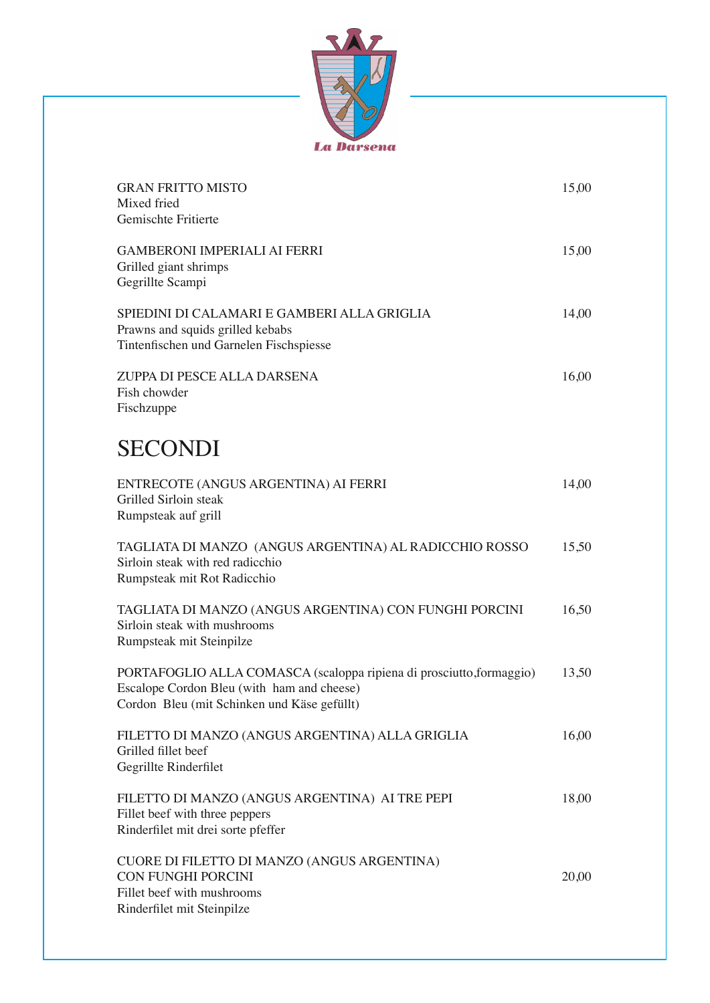

| <b>GRAN FRITTO MISTO</b><br>Mixed fried<br>Gemischte Fritierte                                                                                                    | 15,00 |
|-------------------------------------------------------------------------------------------------------------------------------------------------------------------|-------|
| <b>GAMBERONI IMPERIALI AI FERRI</b><br>Grilled giant shrimps<br>Gegrillte Scampi                                                                                  | 15,00 |
| SPIEDINI DI CALAMARI E GAMBERI ALLA GRIGLIA<br>Prawns and squids grilled kebabs<br>Tintenfischen und Garnelen Fischspiesse                                        | 14,00 |
| ZUPPA DI PESCE ALLA DARSENA<br>Fish chowder<br>Fischzuppe                                                                                                         | 16,00 |
| <b>SECONDI</b>                                                                                                                                                    |       |
| ENTRECOTE (ANGUS ARGENTINA) AI FERRI<br>Grilled Sirloin steak<br>Rumpsteak auf grill                                                                              | 14,00 |
| TAGLIATA DI MANZO (ANGUS ARGENTINA) AL RADICCHIO ROSSO<br>Sirloin steak with red radicchio<br>Rumpsteak mit Rot Radicchio                                         | 15,50 |
| TAGLIATA DI MANZO (ANGUS ARGENTINA) CON FUNGHI PORCINI<br>Sirloin steak with mushrooms<br>Rumpsteak mit Steinpilze                                                | 16,50 |
| PORTAFOGLIO ALLA COMASCA (scaloppa ripiena di prosciutto, formaggio)<br>Escalope Cordon Bleu (with ham and cheese)<br>Cordon Bleu (mit Schinken und Käse gefüllt) | 13,50 |
| FILETTO DI MANZO (ANGUS ARGENTINA) ALLA GRIGLIA<br>Grilled fillet beef<br>Gegrillte Rinderfilet                                                                   | 16,00 |
| FILETTO DI MANZO (ANGUS ARGENTINA) AI TRE PEPI<br>Fillet beef with three peppers<br>Rinderfilet mit drei sorte pfeffer                                            | 18,00 |
| CUORE DI FILETTO DI MANZO (ANGUS ARGENTINA)<br><b>CON FUNGHI PORCINI</b><br>Fillet beef with mushrooms<br>Rinderfilet mit Steinpilze                              | 20,00 |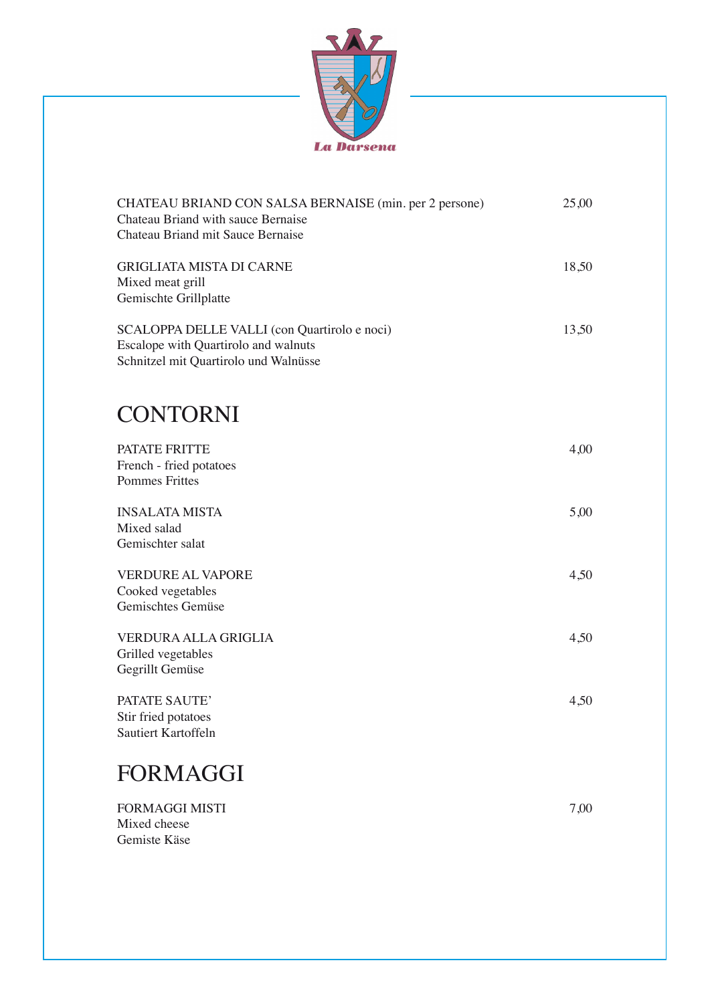

| CHATEAU BRIAND CON SALSA BERNAISE (min. per 2 persone)<br>Chateau Briand with sauce Bernaise<br>Chateau Briand mit Sauce Bernaise | 25,00 |
|-----------------------------------------------------------------------------------------------------------------------------------|-------|
| <b>GRIGLIATA MISTA DI CARNE</b><br>Mixed meat grill<br>Gemischte Grillplatte                                                      | 18,50 |
| SCALOPPA DELLE VALLI (con Quartirolo e noci)<br>Escalope with Quartirolo and walnuts<br>Schnitzel mit Quartirolo und Walnüsse     | 13,50 |
| <b>CONTORNI</b>                                                                                                                   |       |
| <b>PATATE FRITTE</b><br>French - fried potatoes<br><b>Pommes Frittes</b>                                                          | 4,00  |
| <b>INSALATA MISTA</b><br>Mixed salad<br>Gemischter salat                                                                          | 5,00  |
| <b>VERDURE AL VAPORE</b><br>Cooked vegetables<br>Gemischtes Gemüse                                                                | 4,50  |
| VERDURA ALLA GRIGLIA<br>Grilled vegetables<br>Gegrillt Gemüse                                                                     | 4,50  |
| PATATE SAUTE'<br>Stir fried potatoes<br>Sautiert Kartoffeln                                                                       | 4,50  |
| FORMAGGI                                                                                                                          |       |
| <b>FORMAGGI MISTI</b><br>Mixed cheese                                                                                             | 7,00  |

Gemiste Käse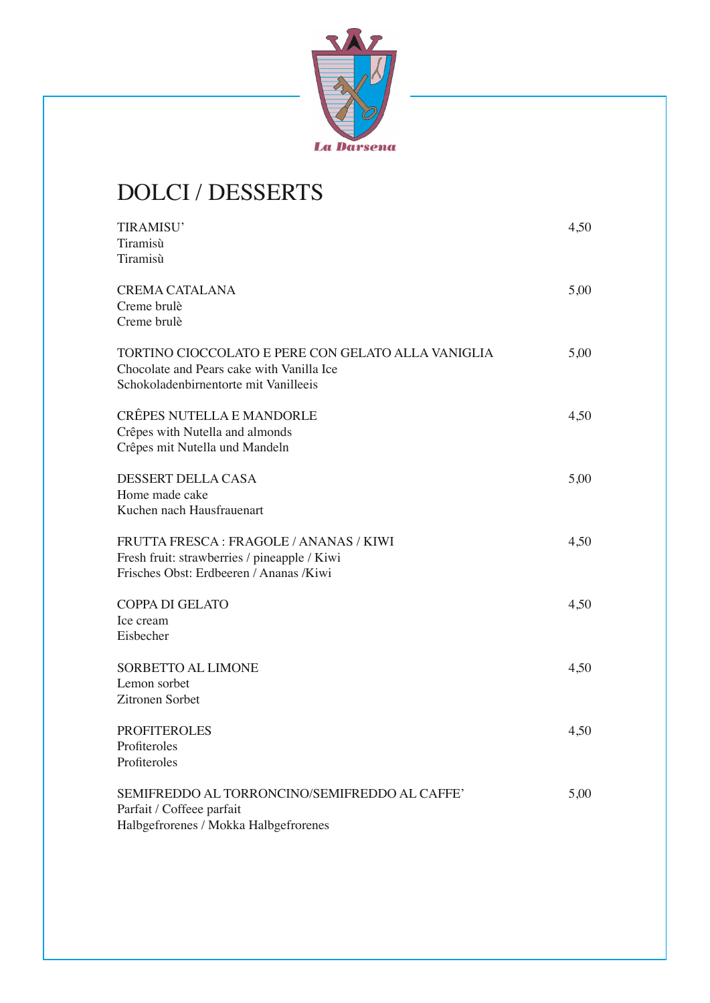

## DOLCI / DESSERTS

| TIRAMISU'                                          | 4,50 |
|----------------------------------------------------|------|
| Tiramisù                                           |      |
| Tiramisù                                           |      |
| <b>CREMA CATALANA</b>                              | 5,00 |
| Creme brulè                                        |      |
| Creme brulè                                        |      |
| TORTINO CIOCCOLATO E PERE CON GELATO ALLA VANIGLIA | 5,00 |
| Chocolate and Pears cake with Vanilla Ice          |      |
| Schokoladenbirnentorte mit Vanilleeis              |      |
| <b>CRÊPES NUTELLA E MANDORLE</b>                   | 4,50 |
| Crêpes with Nutella and almonds                    |      |
| Crêpes mit Nutella und Mandeln                     |      |
| DESSERT DELLA CASA                                 | 5,00 |
| Home made cake                                     |      |
| Kuchen nach Hausfrauenart                          |      |
| FRUTTA FRESCA: FRAGOLE / ANANAS / KIWI             | 4,50 |
| Fresh fruit: strawberries / pineapple / Kiwi       |      |
| Frisches Obst: Erdbeeren / Ananas /Kiwi            |      |
| <b>COPPA DI GELATO</b>                             | 4,50 |
| Ice cream                                          |      |
| Eisbecher                                          |      |
| SORBETTO AL LIMONE                                 | 4,50 |
| Lemon sorbet                                       |      |
| Zitronen Sorbet                                    |      |
| <b>PROFITEROLES</b>                                | 4,50 |
| Profiteroles                                       |      |
| Profiteroles                                       |      |
| SEMIFREDDO AL TORRONCINO/SEMIFREDDO AL CAFFE'      | 5,00 |
| Parfait / Coffeee parfait                          |      |
| Halbgefrorenes / Mokka Halbgefrorenes              |      |